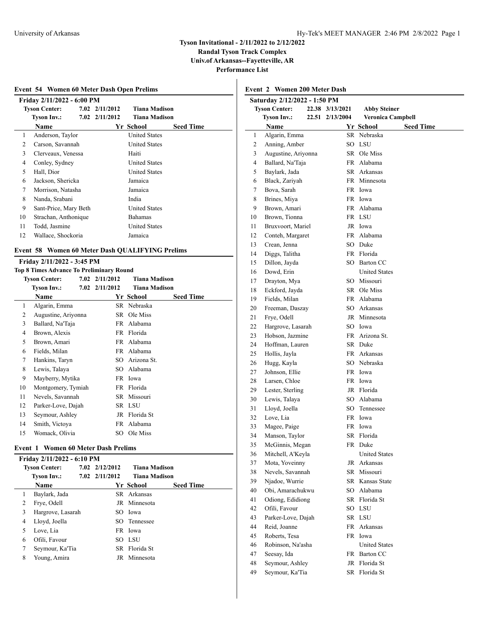**Randal Tyson Track Complex Univ.of Arkansas--Fayetteville, AR**

**Performance List**

| Friday 2/11/2022 - 6:00 PM                      |                |                      |                  |
|-------------------------------------------------|----------------|----------------------|------------------|
| <b>Tyson Center:</b>                            | 7.02 2/11/2012 | Tiana Madison        |                  |
| <b>Tyson Inv.:</b>                              | 7.02 2/11/2012 | <b>Tiana Madison</b> |                  |
| Name                                            |                | Yr School            | <b>Seed Time</b> |
| Anderson, Taylor<br>1                           |                | <b>United States</b> |                  |
| 2<br>Carson, Savannah                           |                | <b>United States</b> |                  |
| 3<br>Clerveaux, Venessa                         |                | Haiti                |                  |
| 4<br>Conley, Sydney                             |                | <b>United States</b> |                  |
| 5<br>Hall, Dior                                 |                | <b>United States</b> |                  |
| Jackson, Shericka<br>6                          |                | Jamaica              |                  |
| 7<br>Morrison, Natasha                          |                | Jamaica              |                  |
| 8<br>Nanda, Srabani                             |                | India                |                  |
| 9<br>Sant-Price, Mary Beth                      |                | <b>United States</b> |                  |
| 10<br>Strachan, Anthonique                      |                | Bahamas              |                  |
| Todd, Jasmine<br>11                             |                | <b>United States</b> |                  |
| 12<br>Wallace, Shockoria                        |                | Jamaica              |                  |
| Event 58 Women 60 Meter Dash QUALIFYING Prelims |                |                      |                  |
| Friday 2/11/2022 - 3:45 PM                      |                |                      |                  |

| Top 8 Times Advance To Preliminary Round |                      |  |                |                      |                  |  |  |
|------------------------------------------|----------------------|--|----------------|----------------------|------------------|--|--|
|                                          | <b>Tyson Center:</b> |  | 7.02 2/11/2012 | <b>Tiana Madison</b> |                  |  |  |
|                                          | <b>Tyson Inv.:</b>   |  | 7.02 2/11/2012 | <b>Tiana Madison</b> |                  |  |  |
|                                          | <b>Name</b>          |  |                | Yr School            | <b>Seed Time</b> |  |  |
| 1                                        | Algarin, Emma        |  |                | SR Nebraska          |                  |  |  |
| 2                                        | Augustine, Ariyonna  |  |                | SR Ole Miss          |                  |  |  |
| 3                                        | Ballard, Na'Taja     |  | FR             | Alabama              |                  |  |  |
| 4                                        | Brown, Alexis        |  |                | FR Florida           |                  |  |  |
| 5                                        | Brown, Amari         |  | FR.            | Alabama              |                  |  |  |
| 6                                        | Fields, Milan        |  | FR             | Alabama              |                  |  |  |
| 7                                        | Hankins, Taryn       |  | SO.            | Arizona St.          |                  |  |  |
| 8                                        | Lewis, Talaya        |  | SO.            | Alabama              |                  |  |  |
| 9                                        | Mayberry, Mytika     |  |                | FR Iowa              |                  |  |  |
| 10                                       | Montgomery, Tymiah   |  |                | FR Florida           |                  |  |  |
| 11                                       | Nevels, Savannah     |  | SR             | Missouri             |                  |  |  |
| 12                                       | Parker-Love, Dajah   |  |                | SR LSU               |                  |  |  |
| 13                                       | Seymour, Ashley      |  | JR             | Florida St           |                  |  |  |
| 14                                       | Smith, Victoya       |  | FR             | Alabama              |                  |  |  |
| 15                                       | Womack, Olivia       |  |                | SO Ole Miss          |                  |  |  |
|                                          |                      |  |                |                      |                  |  |  |

## **Event 1 Women 60 Meter Dash Prelims**

|        | <b>Tyson Center:</b> | $7.02 \quad \frac{2}{12}{2012}$ | <b>Tiana Madison</b> |                  |
|--------|----------------------|---------------------------------|----------------------|------------------|
|        | Tyson Inv.:          | $7.02$ $2/11/2012$              | Tiana Madison        |                  |
|        | <b>Name</b>          |                                 | Yr School            | <b>Seed Time</b> |
|        | Baylark, Jada        |                                 | SR Arkansas          |                  |
| 2      | Frye, Odell          |                                 | JR Minnesota         |                  |
| 3      | Hargrove, Lasarah    |                                 | SO Iowa              |                  |
| 4      | Lloyd, Joella        |                                 | SO Tennessee         |                  |
| 5      | Love, Lia            |                                 | FR Iowa              |                  |
| 6      | Ofili, Favour        |                                 | SO LSU               |                  |
| $\tau$ | Seymour, Ka'Tia      |                                 | SR Florida St        |                  |
| 8      | Young, Amira         |                                 | JR Minnesota         |                  |

| <b>Event 2 Women 200 Meter Dash</b> |                              |       |                 |                                      |                  |  |
|-------------------------------------|------------------------------|-------|-----------------|--------------------------------------|------------------|--|
|                                     | Saturday 2/12/2022 - 1:50 PM |       |                 |                                      |                  |  |
|                                     | <b>Tyson Center:</b>         |       | 22.38 3/13/2021 | <b>Abby Steiner</b>                  |                  |  |
|                                     | <b>Tyson Inv.:</b>           | 22.51 | 2/13/2004       | <b>Veronica Campbell</b>             |                  |  |
|                                     | <b>Name</b>                  |       |                 | Yr School                            | <b>Seed Time</b> |  |
| 1                                   | Algarin, Emma                |       |                 | SR Nebraska                          |                  |  |
| 2                                   | Anning, Amber                |       |                 | SO LSU                               |                  |  |
| 3                                   | Augustine, Ariyonna          |       |                 | SR Ole Miss                          |                  |  |
| 4                                   | Ballard, Na'Taja             |       |                 | FR Alabama                           |                  |  |
| 5                                   | Baylark, Jada                |       |                 | SR Arkansas                          |                  |  |
| 6                                   | Black, Zariyah               |       |                 | FR Minnesota                         |                  |  |
| 7                                   | Bova, Sarah                  |       |                 | FR Iowa                              |                  |  |
| 8                                   | Brines, Miya                 |       |                 | FR Iowa                              |                  |  |
| 9                                   | Brown, Amari                 |       |                 | FR Alabama                           |                  |  |
| 10                                  | Brown, Tionna                |       |                 | FR LSU                               |                  |  |
| 11                                  | Bruxvoort, Mariel            |       |                 | JR Iowa                              |                  |  |
| 12                                  | Conteh, Margaret             |       |                 | FR Alabama                           |                  |  |
| 13                                  | Crean, Jenna                 |       |                 | SO Duke                              |                  |  |
| 14                                  | Diggs, Talitha               |       |                 | FR Florida                           |                  |  |
| 15<br>16                            | Dillon, Jayda<br>Dowd, Erin  |       |                 | SO Barton CC<br><b>United States</b> |                  |  |
|                                     | Drayton, Mya                 |       |                 | SO Missouri                          |                  |  |
| 17<br>18                            | Eckford, Jayda               |       |                 | SR Ole Miss                          |                  |  |
| 19                                  | Fields, Milan                |       |                 | FR Alabama                           |                  |  |
| 20                                  | Freeman, Daszay              |       |                 | SO Arkansas                          |                  |  |
| 21                                  | Frye, Odell                  |       |                 | JR Minnesota                         |                  |  |
| 22                                  | Hargrove, Lasarah            |       |                 | SO Iowa                              |                  |  |
| 23                                  | Hobson, Jazmine              |       |                 | FR Arizona St.                       |                  |  |
| 24                                  | Hoffman, Lauren              |       |                 | SR Duke                              |                  |  |
| 25                                  | Hollis, Jayla                |       |                 | FR Arkansas                          |                  |  |
| 26                                  | Hugg, Kayla                  |       |                 | SO Nebraska                          |                  |  |
| 27                                  | Johnson, Ellie               |       |                 | FR Iowa                              |                  |  |
| 28                                  | Larsen, Chloe                |       |                 | FR Iowa                              |                  |  |
| 29                                  | Lester, Sterling             |       |                 | JR Florida                           |                  |  |
| 30                                  | Lewis, Talaya                |       |                 | SO Alabama                           |                  |  |
| 31                                  | Lloyd, Joella                |       |                 | SO Tennessee                         |                  |  |
| 32                                  | Love, Lia                    |       |                 | FR Iowa                              |                  |  |
| 33                                  | Magee, Paige                 |       |                 | FR Iowa                              |                  |  |
| 34                                  | Manson, Taylor               |       |                 | SR Florida                           |                  |  |
| 35                                  | McGinnis, Megan              |       |                 | FR Duke                              |                  |  |
| 36                                  | Mitchell, A'Keyla            |       |                 | <b>United States</b>                 |                  |  |
| 37                                  | Mota, Yoveinny               |       | JR              | Arkansas                             |                  |  |
| 38                                  | Nevels, Savannah             |       |                 | SR Missouri                          |                  |  |
| 39                                  | Njadoe, Wurrie               |       |                 | SR Kansas State                      |                  |  |
| 40                                  | Obi, Amarachukwu             |       |                 | SO Alabama                           |                  |  |
| 41                                  | Odiong, Edidiong             |       |                 | SR Florida St                        |                  |  |
| 42                                  | Ofili, Favour                |       |                 | SO LSU                               |                  |  |
| 43                                  | Parker-Love, Dajah           |       |                 | SR LSU                               |                  |  |
| 44                                  | Reid, Joanne                 |       |                 | FR Arkansas                          |                  |  |
| 45                                  | Roberts, Tesa                |       |                 | FR Iowa                              |                  |  |
| 46                                  | Robinson, Na'asha            |       |                 | <b>United States</b>                 |                  |  |
| 47                                  | Seesay, Ida                  |       |                 | FR Barton CC                         |                  |  |
| 48                                  | Seymour, Ashley              |       |                 | JR Florida St                        |                  |  |
| 49                                  | Seymour, Ka'Tia              |       |                 | SR Florida St                        |                  |  |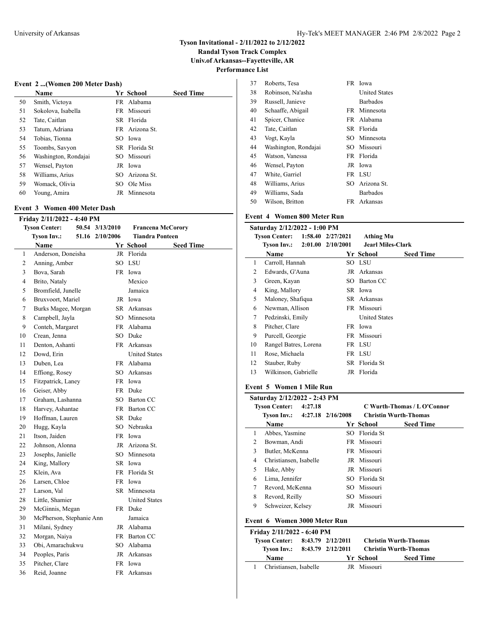**Randal Tyson Track Complex Univ.of Arkansas--Fayetteville, AR**

l,

**Performance List**

## **Event 2 ...(Women 200 Meter Dash)**

|    | <b>Name</b>          | Yr School      | <b>Seed Time</b> |
|----|----------------------|----------------|------------------|
| 50 | Smith, Victoya       | FR Alabama     |                  |
| 51 | Sokolova, Isabella   | FR Missouri    |                  |
| 52 | Tate, Caitlan        | SR Florida     |                  |
| 53 | Tatum, Adriana       | FR Arizona St. |                  |
| 54 | Tobias, Tionna       | SO Iowa        |                  |
| 55 | Toombs, Savyon       | SR Florida St  |                  |
| 56 | Washington, Rondajai | SO Missouri    |                  |
| 57 | Wensel, Payton       | JR Iowa        |                  |
| 58 | Williams, Arius      | SO Arizona St. |                  |
| 59 | Womack, Olivia       | SO Ole Miss    |                  |
| 60 | Young, Amira         | JR Minnesota   |                  |

## **Event 3 Women 400 Meter Dash**

| Friday 2/11/2022 - 4:40 PM |                          |                 |                          |                  |  |  |
|----------------------------|--------------------------|-----------------|--------------------------|------------------|--|--|
|                            | <b>Tyson Center:</b>     | 50.54 3/13/2010 | <b>Francena McCorory</b> |                  |  |  |
|                            | <b>Tyson Inv.:</b>       | 51.16 2/10/2006 | <b>Tiandra Ponteen</b>   |                  |  |  |
|                            | Name                     |                 | Yr School                | <b>Seed Time</b> |  |  |
| 1                          | Anderson, Doneisha       | JR              | Florida                  |                  |  |  |
| 2                          | Anning, Amber            | SO              | <b>LSU</b>               |                  |  |  |
| 3                          | Bova, Sarah              | FR              | Iowa                     |                  |  |  |
| $\overline{4}$             | Brito, Nataly            |                 | Mexico                   |                  |  |  |
| 5                          | Bromfield, Junelle       |                 | Jamaica                  |                  |  |  |
| 6                          | Bruxvoort, Mariel        |                 | JR Iowa                  |                  |  |  |
| $\tau$                     | Burks Magee, Morgan      | SR.             | Arkansas                 |                  |  |  |
| 8                          | Campbell, Jayla          | $SO^-$          | Minnesota                |                  |  |  |
| 9                          | Conteh, Margaret         | <b>FR</b>       | Alabama                  |                  |  |  |
| 10                         | Crean, Jenna             | SO              | Duke                     |                  |  |  |
| 11                         | Denton, Ashanti          | <b>FR</b>       | Arkansas                 |                  |  |  |
| 12                         | Dowd, Erin               |                 | <b>United States</b>     |                  |  |  |
| 13                         | Duben, Lea               |                 | FR Alabama               |                  |  |  |
| 14                         | Effiong, Rosey           | SO              | Arkansas                 |                  |  |  |
| 15                         | Fitzpatrick, Laney       |                 | FR Iowa                  |                  |  |  |
| 16                         | Geiser, Abby             | FR 1            | Duke                     |                  |  |  |
| 17                         | Graham, Lashanna         |                 | SO Barton CC             |                  |  |  |
| 18                         | Harvey, Ashantae         |                 | FR Barton CC             |                  |  |  |
| 19                         | Hoffman, Lauren          |                 | SR Duke                  |                  |  |  |
| 20                         | Hugg, Kayla              | SO.             | Nebraska                 |                  |  |  |
| 21                         | Itson, Jaiden            |                 | FR Iowa                  |                  |  |  |
| 22                         | Johnson, Alonna          | JR              | Arizona St.              |                  |  |  |
| 23                         | Josephs, Janielle        | SO.             | Minnesota                |                  |  |  |
| 24                         | King, Mallory            | SR.             | Iowa                     |                  |  |  |
| 25                         | Klein. Ava               |                 | FR Florida St            |                  |  |  |
| 26                         | Larsen, Chloe            | <b>FR</b>       | Iowa                     |                  |  |  |
| 27                         | Larson. Val              | SR              | Minnesota                |                  |  |  |
| 28                         | Little, Shamier          |                 | <b>United States</b>     |                  |  |  |
| 29                         | McGinnis, Megan          | FR -            | Duke                     |                  |  |  |
| 30                         | McPherson, Stephanie Ann |                 | Jamaica                  |                  |  |  |
| 31                         | Milani, Sydney           | JR              | Alabama                  |                  |  |  |
| 32                         | Morgan, Naiya            | FR -            | Barton CC                |                  |  |  |
| 33                         | Obi, Amarachukwu         |                 | SO Alabama               |                  |  |  |
| 34                         | Peoples, Paris           | JR              | Arkansas                 |                  |  |  |
| 35                         | Pitcher, Clare           | FR              | Iowa                     |                  |  |  |
| 36                         | Reid, Joanne             | <b>FR</b>       | Arkansas                 |                  |  |  |
|                            |                          |                 |                          |                  |  |  |

| 37 | Roberts, Tesa        | FR     | Iowa                 |
|----|----------------------|--------|----------------------|
| 38 | Robinson, Na'asha    |        | <b>United States</b> |
| 39 | Russell, Janieve     |        | <b>Barbados</b>      |
| 40 | Schaaffe, Abigail    | FR     | Minnesota            |
| 41 | Spicer, Chanice      |        | FR Alabama           |
| 42 | Tate, Caitlan        | SR -   | Florida              |
| 43 | Vogt, Kayla          |        | SO Minnesota         |
| 44 | Washington, Rondajai |        | SO Missouri          |
| 45 | Watson, Vanessa      |        | FR Florida           |
| 46 | Wensel, Payton       |        | JR Iowa              |
| 47 | White, Garriel       | FR.    | LSU                  |
| 48 | Williams, Arius      | $SO^-$ | Arizona St.          |
| 49 | Williams, Sada       |        | <b>Barbados</b>      |
| 50 | Wilson, Britton      | FR     | Arkansas             |

## **Event 4 Women 800 Meter Run**

| Saturday 2/12/2022 - 1:00 PM |                                 |  |                       |                          |                  |  |  |
|------------------------------|---------------------------------|--|-----------------------|--------------------------|------------------|--|--|
|                              | Tyson Center: 1:58.40 2/27/2021 |  |                       | <b>Athing Mu</b>         |                  |  |  |
|                              | Tyson Inv.:                     |  | $2:01.00$ $2/10/2001$ | <b>Jearl Miles-Clark</b> |                  |  |  |
|                              | <b>Name</b>                     |  |                       | Yr School                | <b>Seed Time</b> |  |  |
| 1                            | Carroll, Hannah                 |  |                       | SO LSU                   |                  |  |  |
| 2                            | Edwards, G'Auna                 |  |                       | JR Arkansas              |                  |  |  |
| 3                            | Green, Kayan                    |  |                       | SO Barton CC             |                  |  |  |
| 4                            | King, Mallory                   |  |                       | SR Iowa                  |                  |  |  |
| 5                            | Maloney, Shafiqua               |  |                       | SR Arkansas              |                  |  |  |
| 6                            | Newman, Allison                 |  |                       | FR Missouri              |                  |  |  |
| 7                            | Pedzinski, Emily                |  |                       | <b>United States</b>     |                  |  |  |
| 8                            | Pitcher, Clare                  |  |                       | FR Iowa                  |                  |  |  |
| 9                            | Purcell, Georgie                |  |                       | FR Missouri              |                  |  |  |
| 10                           | Rangel Batres, Lorena           |  |                       | FR LSU                   |                  |  |  |
| 11                           | Rose, Michaela                  |  |                       | FR LSU                   |                  |  |  |
| 12                           | Stauber, Ruby                   |  |                       | SR Florida St            |                  |  |  |
| 13                           | Wilkinson, Gabrielle            |  |                       | JR Florida               |                  |  |  |
|                              |                                 |  |                       |                          |                  |  |  |

## **Event 5 Women 1 Mile Run**

|               | Saturday 2/12/2022 - 2:43 PM  |         |               |                              |
|---------------|-------------------------------|---------|---------------|------------------------------|
|               | <b>Tyson Center:</b>          | 4:27.18 |               | C Wurth-Thomas / L O'Connor  |
|               | Tyson Inv.: 4:27.18 2/16/2008 |         |               | <b>Christin Wurth-Thomas</b> |
|               | <b>Name</b>                   |         | Yr School     | <b>Seed Time</b>             |
| 1             | Abbes, Yasmine                |         | SO Florida St |                              |
| $\mathcal{L}$ | Bowman, Andi                  |         | FR Missouri   |                              |
| 3             | Butler, McKenna               |         | FR Missouri   |                              |
| 4             | Christiansen, Isabelle        |         | JR Missouri   |                              |
| 5             | Hake, Abby                    |         | JR Missouri   |                              |
| 6             | Lima, Jennifer                |         | SO Florida St |                              |
| 7             | Revord, McKenna               |         | SO Missouri   |                              |
| 8             | Revord, Reilly                |         | SO Missouri   |                              |
| 9             | Schweizer, Kelsey             |         | JR Missouri   |                              |
|               |                               |         |               |                              |

## **Event 6 Women 3000 Meter Run**

| Friday 2/11/2022 - 6:40 PM      |  |  |             |                              |  |  |  |
|---------------------------------|--|--|-------------|------------------------------|--|--|--|
| Tyson Center: 8:43.79 2/12/2011 |  |  |             | <b>Christin Wurth-Thomas</b> |  |  |  |
| Tyson Inv.: 8:43.79 2/12/2011   |  |  |             | Christin Wurth-Thomas        |  |  |  |
| Name                            |  |  | Yr School   | <b>Seed Time</b>             |  |  |  |
| Christiansen, Isabelle          |  |  | JR Missouri |                              |  |  |  |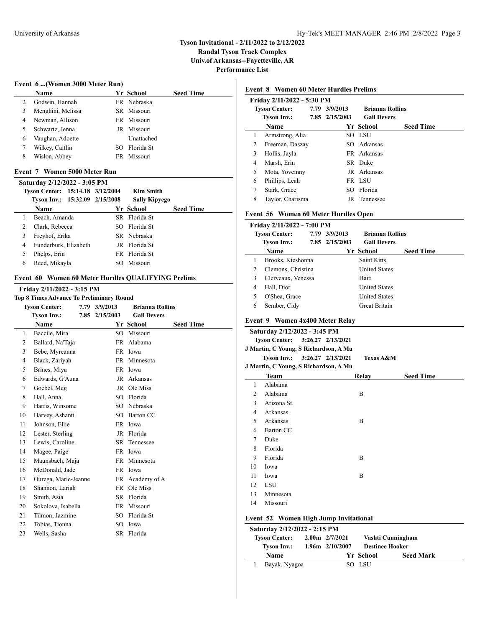**Randal Tyson Track Complex Univ.of Arkansas--Fayetteville, AR**

**Performance List**

## **Event 6 ...(Women 3000 Meter Run)**

|   | Name              | Yr School     | <b>Seed Time</b> |
|---|-------------------|---------------|------------------|
|   |                   |               |                  |
| 2 | Godwin, Hannah    | FR Nebraska   |                  |
|   | Menghini, Melissa | SR Missouri   |                  |
| 4 | Newman, Allison   | FR Missouri   |                  |
| 5 | Schwartz, Jenna   | JR Missouri   |                  |
| 6 | Vaughan, Adoette  | Unattached    |                  |
|   | Wilkey, Caitlin   | SO Florida St |                  |
| 8 | Wislon, Abbey     | FR Missouri   |                  |

## **Event 7 Women 5000 Meter Run**

| Saturday 2/12/2022 - 3:05 PM |                                  |  |  |                      |                  |  |  |
|------------------------------|----------------------------------|--|--|----------------------|------------------|--|--|
|                              | Tyson Center: 15:14.18 3/12/2004 |  |  | <b>Kim Smith</b>     |                  |  |  |
|                              | Tyson Inv.: 15:32.09 2/15/2008   |  |  | <b>Sally Kipyego</b> |                  |  |  |
|                              | <b>Name</b>                      |  |  | Yr School            | <b>Seed Time</b> |  |  |
|                              | Beach, Amanda                    |  |  | SR Florida St        |                  |  |  |
|                              | Clark, Rebecca                   |  |  | SO Florida St        |                  |  |  |
| 3                            | Freyhof, Erika                   |  |  | SR Nebraska          |                  |  |  |
| 4                            | Funderburk, Elizabeth            |  |  | JR Florida St        |                  |  |  |
|                              | Phelps, Erin                     |  |  | FR Florida St        |                  |  |  |
| 6                            | Reed, Mikayla                    |  |  | SO Missouri          |                  |  |  |

#### **Event 60 Women 60 Meter Hurdles QUALIFYING Prelims**

## **Friday 2/11/2022 - 3:15 PM**

|                      | <b>Top 8 Times Advance To Preliminary Round</b> |  |                |                        |                  |  |  |  |  |  |
|----------------------|-------------------------------------------------|--|----------------|------------------------|------------------|--|--|--|--|--|
| <b>Tyson Center:</b> |                                                 |  | 7.79 3/9/2013  | <b>Brianna Rollins</b> |                  |  |  |  |  |  |
| <b>Tyson Inv.:</b>   |                                                 |  | 7.85 2/15/2003 | <b>Gail Devers</b>     |                  |  |  |  |  |  |
|                      | Name                                            |  |                | Yr School              | <b>Seed Time</b> |  |  |  |  |  |
| 1                    | Baccile, Mira                                   |  | SO             | Missouri               |                  |  |  |  |  |  |
| 2                    | Ballard, Na'Taja                                |  |                | FR Alabama             |                  |  |  |  |  |  |
| 3                    | Bebe, Myreanna                                  |  |                | FR Iowa                |                  |  |  |  |  |  |
| 4                    | Black, Zariyah                                  |  |                | FR Minnesota           |                  |  |  |  |  |  |
| 5                    | Brines, Miya                                    |  |                | FR Iowa                |                  |  |  |  |  |  |
| 6                    | Edwards, G'Auna                                 |  |                | JR Arkansas            |                  |  |  |  |  |  |
| 7                    | Goebel, Meg                                     |  |                | JR Ole Miss            |                  |  |  |  |  |  |
| 8                    | Hall, Anna                                      |  | SO             | Florida                |                  |  |  |  |  |  |
| 9                    | Harris, Winsome                                 |  |                | SO Nebraska            |                  |  |  |  |  |  |
| 10                   | Harvey, Ashanti                                 |  |                | SO Barton CC           |                  |  |  |  |  |  |
| 11                   | Johnson, Ellie                                  |  |                | FR Iowa                |                  |  |  |  |  |  |
| 12                   | Lester, Sterling                                |  |                | JR Florida             |                  |  |  |  |  |  |
| 13                   | Lewis, Caroline                                 |  |                | SR Tennessee           |                  |  |  |  |  |  |
| 14                   | Magee, Paige                                    |  |                | FR Iowa                |                  |  |  |  |  |  |
| 15                   | Maunsbach, Maja                                 |  |                | FR Minnesota           |                  |  |  |  |  |  |
| 16                   | McDonald, Jade                                  |  |                | FR Iowa                |                  |  |  |  |  |  |
| 17                   | Ourega, Marie-Jeanne                            |  |                | FR Academy of A        |                  |  |  |  |  |  |
| 18                   | Shannon, Lariah                                 |  |                | FR Ole Miss            |                  |  |  |  |  |  |
| 19                   | Smith, Asia                                     |  |                | SR Florida             |                  |  |  |  |  |  |
| 20                   | Sokolova, Isabella                              |  |                | FR Missouri            |                  |  |  |  |  |  |
| 21                   | Tilmon, Jazmine                                 |  |                | SO Florida St          |                  |  |  |  |  |  |
| 22                   | Tobias, Tionna                                  |  |                | SO Iowa                |                  |  |  |  |  |  |
| 23                   | Wells, Sasha                                    |  |                | SR Florida             |                  |  |  |  |  |  |
|                      |                                                 |  |                |                        |                  |  |  |  |  |  |

## **Event 8 Women 60 Meter Hurdles Prelims**

|   | Friday 2/11/2022 - 5:30 PM |  |                                         |                    |                  |  |  |  |  |
|---|----------------------------|--|-----------------------------------------|--------------------|------------------|--|--|--|--|
|   | <b>Tyson Center:</b>       |  | 7.79 3/9/2013<br><b>Brianna Rollins</b> |                    |                  |  |  |  |  |
|   | <b>Tyson Inv.:</b>         |  | 7.85 2/15/2003                          | <b>Gail Devers</b> |                  |  |  |  |  |
|   | Name                       |  |                                         | Yr School          | <b>Seed Time</b> |  |  |  |  |
| 1 | Armstrong, Alia            |  |                                         | SO LSU             |                  |  |  |  |  |
| 2 | Freeman, Daszay            |  |                                         | SO Arkansas        |                  |  |  |  |  |
| 3 | Hollis, Jayla              |  |                                         | FR Arkansas        |                  |  |  |  |  |
| 4 | Marsh, Erin                |  |                                         | SR Duke            |                  |  |  |  |  |
| 5 | Mota, Yoveinny             |  |                                         | JR Arkansas        |                  |  |  |  |  |
| 6 | Phillips, Leah             |  |                                         | FR LSU             |                  |  |  |  |  |
| 7 | Stark, Grace               |  |                                         | SO Florida         |                  |  |  |  |  |
| 8 | Taylor, Charisma           |  |                                         | JR Tennessee       |                  |  |  |  |  |

## **Event 56 Women 60 Meter Hurdles Open**

| <b>Tyson Center:</b>            | 7.79 3/9/2013  | <b>Brianna Rollins</b> |                  |
|---------------------------------|----------------|------------------------|------------------|
| Tyson Inv.:                     | 7.85 2/15/2003 | <b>Gail Devers</b>     |                  |
| <b>Name</b>                     |                | Yr School              | <b>Seed Time</b> |
| Brooks, Kieshonna               |                | Saint Kitts            |                  |
| 2<br>Clemons, Christina         |                | <b>United States</b>   |                  |
| 3<br>Clerveaux, Venessa         |                | Haiti                  |                  |
| Hall, Dior<br>4                 |                | <b>United States</b>   |                  |
| 5<br>O'Shea, Grace              |                | <b>United States</b>   |                  |
| 6<br>Sember, Cidy               |                | <b>Great Britain</b>   |                  |
| Event 9 Women 4x400 Meter Relay |                |                        |                  |

# **Tyson Center: 3:26.27 2/13/2021 J Martin, C Young, S Richardson, A Mu Tyson Inv.: 3:26.27 2/13/2021 Texas A&M J Martin, C Young, S Richardson, A Mu Team Relay Seed Time** Alabama Alabama B Arizona St. Arkansas Arkansas B Barton CC Duke Florida Florida B Iowa Iowa B LSU Minnesota Missouri

## **Event 52 Women High Jump Invitational**

| Saturday 2/12/2022 - 2:15 PM |  |                     |                        |                   |  |  |  |  |  |
|------------------------------|--|---------------------|------------------------|-------------------|--|--|--|--|--|
| <b>Tyson Center:</b>         |  | $2.00$ m $2/7/2021$ |                        | Vashti Cunningham |  |  |  |  |  |
| <b>Tyson Inv.:</b>           |  | $1.96m$ $2/10/2007$ | <b>Destinee Hooker</b> |                   |  |  |  |  |  |
| Name                         |  |                     | Yr School              | <b>Seed Mark</b>  |  |  |  |  |  |
| Bayak, Nyagoa                |  |                     | SO LSU                 |                   |  |  |  |  |  |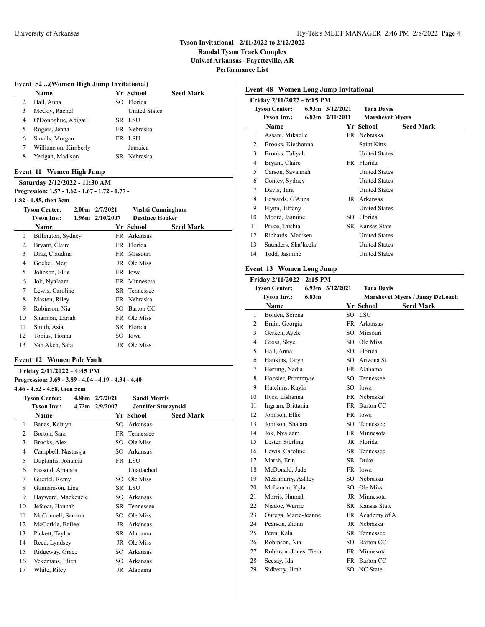**Randal Tyson Track Complex Univ.of Arkansas--Fayetteville, AR**

**Performance List**

#### **Event 52 ...(Women High Jump Invitational)**

|   | Name                 |     | Yr School            | <b>Seed Mark</b> |
|---|----------------------|-----|----------------------|------------------|
| 2 | Hall, Anna           | SO. | Florida              |                  |
|   | McCoy, Rachel        |     | <b>United States</b> |                  |
| 4 | O'Donoghue, Abigail  |     | SR LSU               |                  |
|   | Rogers, Jenna        |     | FR Nebraska          |                  |
| 6 | Smalls, Morgan       |     | FR LSU               |                  |
|   | Williamson, Kimberly |     | Jamaica              |                  |
| 8 | Yerigan, Madison     |     | SR Nebraska          |                  |
|   |                      |     |                      |                  |

## **Event 11 Women High Jump**

**Saturday 2/12/2022 - 11:30 AM Progression: 1.57 - 1.62 - 1.67 - 1.72 - 1.77 -**

# **1.82 - 1.85, then 3cm**

|    | 1.02 - 1.09, пісн эсіп |                   |                     |                        |                  |  |
|----|------------------------|-------------------|---------------------|------------------------|------------------|--|
|    | <b>Tyson Center:</b>   | 2.00 <sub>m</sub> | 2/7/2021            | Vashti Cunningham      |                  |  |
|    | Tyson Inv.:            |                   | $1.96m$ $2/10/2007$ | <b>Destinee Hooker</b> |                  |  |
|    | <b>Name</b>            |                   |                     | Yr School              | <b>Seed Mark</b> |  |
| 1  | Billington, Sydney     |                   | FR                  | Arkansas               |                  |  |
| 2  | Bryant, Claire         |                   |                     | FR Florida             |                  |  |
| 3  | Diaz, Claudina         |                   |                     | FR Missouri            |                  |  |
| 4  | Goebel, Meg            |                   |                     | JR Ole Miss            |                  |  |
| 5  | Johnson, Ellie         |                   |                     | FR Iowa                |                  |  |
| 6  | Jok, Nyalaam           |                   |                     | FR Minnesota           |                  |  |
| 7  | Lewis, Caroline        |                   |                     | SR Tennessee           |                  |  |
| 8  | Masten, Riley          |                   |                     | FR Nebraska            |                  |  |
| 9  | Robinson, Nia          |                   | SO.                 | Barton CC              |                  |  |
| 10 | Shannon, Lariah        |                   |                     | FR Ole Miss            |                  |  |
| 11 | Smith, Asia            |                   |                     | SR Florida             |                  |  |
| 12 | Tobias, Tionna         |                   |                     | SO Iowa                |                  |  |
| 13 | Van Aken, Sara         |                   |                     | JR Ole Miss            |                  |  |
|    |                        |                   |                     |                        |                  |  |

|    | rooms, rionna                                        |                    |                     |                     |
|----|------------------------------------------------------|--------------------|---------------------|---------------------|
| 13 | Van Aken, Sara                                       |                    | JR Ole Miss         |                     |
|    | <b>Event 12 Women Pole Vault</b>                     |                    |                     |                     |
|    | Friday 2/11/2022 - 4:45 PM                           |                    |                     |                     |
|    | Progression: 3.69 - 3.89 - 4.04 - 4.19 - 4.34 - 4.40 |                    |                     |                     |
|    | $4.46 - 4.52 - 4.58$ , then 5cm                      |                    |                     |                     |
|    | Tyson Center: 4.88m 2/7/2021                         |                    | <b>Sandi Morris</b> |                     |
|    | Tyson Inv.:                                          | $4.72m$ $2/9/2007$ |                     | Jennifer Stuczynski |
|    | <b>Name</b>                                          |                    | Yr School           | <b>Seed Mark</b>    |
| 1  | Banas, Kaitlyn                                       |                    | SO Arkansas         |                     |
| 2  | Borton, Sara                                         | FR                 | Tennessee           |                     |
| 3  | Brooks, Alex                                         | SO.                | Ole Miss            |                     |
| 4  | Campbell, Nastassja                                  |                    | SO Arkansas         |                     |
| 5  | Duplantis, Johanna                                   |                    | FR LSU              |                     |
| 6  | Fassold, Amanda                                      |                    | Unattached          |                     |
| 7  | Guertel, Remy                                        |                    | SO Ole Miss         |                     |
| 8  | Gunnarsson, Lisa                                     |                    | SR LSU              |                     |
| 9  | Hayward, Mackenzie                                   | SO.                | Arkansas            |                     |
| 10 | Jefcoat, Hannah                                      | SR.                | Tennessee           |                     |
| 11 | McConnell, Samara                                    |                    | SO Ole Miss         |                     |
| 12 | McCorkle, Bailee                                     | JR.                | Arkansas            |                     |
| 13 | Pickett, Taylor                                      | SR                 | Alabama             |                     |
| 14 | Reed, Lyndsey                                        | JR                 | Ole Miss            |                     |
| 15 | Ridgeway, Grace                                      |                    | SO Arkansas         |                     |
| 16 | Vekemans, Elien                                      |                    | SO Arkansas         |                     |
| 17 | White, Riley                                         | JR                 | Alabama             |                     |
|    |                                                      |                    |                     |                     |

|                            | <b>Event 48 Women Long Jump Invitational</b> |                     |                     |                        |  |  |  |  |  |  |
|----------------------------|----------------------------------------------|---------------------|---------------------|------------------------|--|--|--|--|--|--|
| Friday 2/11/2022 - 6:15 PM |                                              |                     |                     |                        |  |  |  |  |  |  |
| <b>Tyson Center:</b>       |                                              | $6.93m$ $3/12/2021$ | <b>Tara Davis</b>   |                        |  |  |  |  |  |  |
| <b>Tyson Inv.:</b><br>Name |                                              |                     | $6.83m$ $2/11/2011$ | <b>Marshevet Myers</b> |  |  |  |  |  |  |
|                            |                                              | Yr School           |                     | <b>Seed Mark</b>       |  |  |  |  |  |  |
| 1                          | Assani, Mikaelle                             |                     |                     | FR Nebraska            |  |  |  |  |  |  |
| $\mathfrak{D}$             | Brooks, Kieshonna                            |                     |                     | Saint Kitts            |  |  |  |  |  |  |
| 3                          | Brooks, Taliyah                              |                     |                     | <b>United States</b>   |  |  |  |  |  |  |
| 4                          | Bryant, Claire                               |                     |                     | FR Florida             |  |  |  |  |  |  |
| 5                          | Carson, Savannah                             |                     |                     | <b>United States</b>   |  |  |  |  |  |  |
| 6                          | Conley, Sydney                               |                     |                     | <b>United States</b>   |  |  |  |  |  |  |
| 7                          | Davis, Tara                                  |                     |                     | <b>United States</b>   |  |  |  |  |  |  |
| 8                          | Edwards, G'Auna                              |                     |                     | JR Arkansas            |  |  |  |  |  |  |
| 9                          | Flynn, Tiffany                               |                     |                     | <b>United States</b>   |  |  |  |  |  |  |
| 10                         | Moore, Jasmine                               |                     | SO.                 | Florida                |  |  |  |  |  |  |
| 11                         | Pryce, Taishia                               |                     |                     | <b>SR</b> Kansas State |  |  |  |  |  |  |
| 12                         | Richards, Madisen                            |                     |                     | <b>United States</b>   |  |  |  |  |  |  |
| 13                         | Saunders, Sha'keela                          |                     |                     | <b>United States</b>   |  |  |  |  |  |  |
| 14                         | Todd, Jasmine                                |                     |                     | <b>United States</b>   |  |  |  |  |  |  |
|                            |                                              |                     |                     |                        |  |  |  |  |  |  |

## **Event 13 Women Long Jump**

|                             | Friday 2/11/2022 - 2:15 PM |                 |                 |                                        |
|-----------------------------|----------------------------|-----------------|-----------------|----------------------------------------|
|                             | <b>Tyson Center:</b>       | 6.93m 3/12/2021 | Tara Davis      |                                        |
| <b>Tyson Inv.:</b><br>6.83m |                            |                 |                 | <b>Marshevet Myers / Janay DeLoach</b> |
|                             | Name                       |                 | Yr School       | <b>Seed Mark</b>                       |
| 1                           | Bolden, Serena             |                 | SO LSU          |                                        |
| $\overline{c}$              | Brain, Georgia             | FR -            | Arkansas        |                                        |
| 3                           | Gerken, Ayele              | SO              | Missouri        |                                        |
| $\overline{4}$              | Gross, Skye                |                 | SO Ole Miss     |                                        |
| 5                           | Hall, Anna                 |                 | SO Florida      |                                        |
| 6                           | Hankins, Taryn             | SO.             | Arizona St.     |                                        |
| 7                           | Herring, Nadia             |                 | FR Alabama      |                                        |
| 8                           | Hoosier, Prommyse          |                 | SO Tennessee    |                                        |
| 9                           | Hutchins, Kayla            |                 | SO Iowa         |                                        |
| 10                          | Ilves, Lishanna            |                 | FR Nebraska     |                                        |
| 11                          | Ingram, Brittania          |                 | FR Barton CC    |                                        |
| 12                          | Johnson, Ellie             |                 | FR Iowa         |                                        |
| 13                          | Johnson, Shatara           | SO.             | Tennessee       |                                        |
| 14                          | Jok, Nyalaam               |                 | FR Minnesota    |                                        |
| 15                          | Lester, Sterling           |                 | JR Florida      |                                        |
| 16                          | Lewis, Caroline            |                 | SR Tennessee    |                                        |
| 17                          | Marsh, Erin                |                 | SR Duke         |                                        |
| 18                          | McDonald, Jade             |                 | FR Iowa         |                                        |
| 19                          | McElmurry, Ashley          |                 | SO Nebraska     |                                        |
| 20                          | McLaurin, Kyla             |                 | SO Ole Miss     |                                        |
| 21                          | Morris, Hannah             |                 | JR Minnesota    |                                        |
| 22                          | Njadoe, Wurrie             |                 | SR Kansas State |                                        |
| 23                          | Ourega, Marie-Jeanne       |                 | FR Academy of A |                                        |
| 24                          | Pearson, Zionn             |                 | JR Nebraska     |                                        |
| 25                          | Penn, Kala                 | SR              | Tennessee       |                                        |
| 26                          | Robinson, Nia              |                 | SO Barton CC    |                                        |
| 27                          | Robinson-Jones, Tiera      |                 | FR Minnesota    |                                        |
| 28                          | Seesay, Ida                | FR              | Barton CC       |                                        |
| 29                          | Sidberry, Jirah            |                 | SO NC State     |                                        |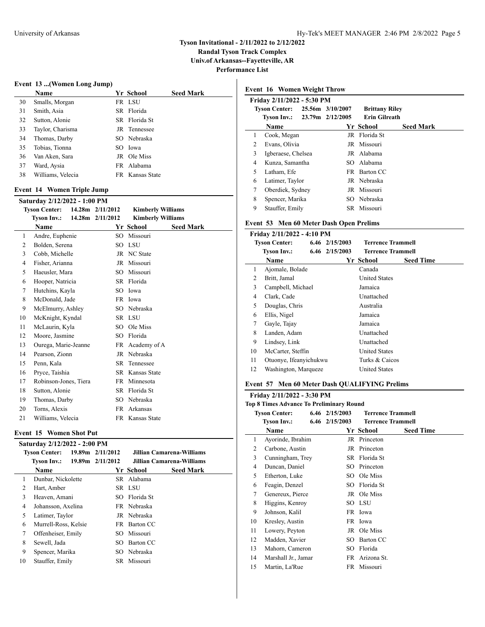**Randal Tyson Track Complex Univ.of Arkansas--Fayetteville, AR**

**Performance List**

#### **Event 13 ...(Women Long Jump)**

|    | <b>Name</b>       | Yr School       | <b>Seed Mark</b> |
|----|-------------------|-----------------|------------------|
| 30 | Smalls, Morgan    | FR LSU          |                  |
| 31 | Smith, Asia       | SR Florida      |                  |
| 32 | Sutton, Alonie    | SR Florida St   |                  |
| 33 | Taylor, Charisma  | JR Tennessee    |                  |
| 34 | Thomas, Darby     | SO Nebraska     |                  |
| 35 | Tobias, Tionna    | SO Iowa         |                  |
| 36 | Van Aken, Sara    | JR Ole Miss     |                  |
| 37 | Ward, Aysia       | FR Alabama      |                  |
| 38 | Williams, Velecia | FR Kansas State |                  |
|    |                   |                 |                  |

#### **Event 14 Women Triple Jump**

|                      | Saturday 2/12/2022 - 1:00 PM |  |                      |                          |                  |  |  |  |  |
|----------------------|------------------------------|--|----------------------|--------------------------|------------------|--|--|--|--|
| <b>Tyson Center:</b> |                              |  | $14.28m$ $2/11/2012$ | <b>Kimberly Williams</b> |                  |  |  |  |  |
|                      | <b>Tyson Inv.:</b>           |  | 14.28m 2/11/2012     | <b>Kimberly Williams</b> |                  |  |  |  |  |
|                      | Name                         |  |                      | Yr School                | <b>Seed Mark</b> |  |  |  |  |
| 1                    | Andre, Euphenie              |  | SO                   | Missouri                 |                  |  |  |  |  |
| 2                    | Bolden, Serena               |  | SO                   | <b>LSU</b>               |                  |  |  |  |  |
| 3                    | Cobb, Michelle               |  | JR                   | NC State                 |                  |  |  |  |  |
| 4                    | Fisher, Arianna              |  | JR                   | Missouri                 |                  |  |  |  |  |
| 5                    | Haeusler, Mara               |  | SO.                  | Missouri                 |                  |  |  |  |  |
| 6                    | Hooper, Natricia             |  |                      | SR Florida               |                  |  |  |  |  |
| 7                    | Hutchins, Kayla              |  | SO                   | Iowa                     |                  |  |  |  |  |
| 8                    | McDonald, Jade               |  |                      | FR Iowa                  |                  |  |  |  |  |
| 9                    | McElmurry, Ashley            |  |                      | SO Nebraska              |                  |  |  |  |  |
| 10                   | McKnight, Kyndal             |  |                      | SR LSU                   |                  |  |  |  |  |
| 11                   | McLaurin, Kyla               |  | SO.                  | Ole Miss                 |                  |  |  |  |  |
| 12                   | Moore, Jasmine               |  | SO                   | Florida                  |                  |  |  |  |  |
| 13                   | Ourega, Marie-Jeanne         |  |                      | FR Academy of A          |                  |  |  |  |  |
| 14                   | Pearson, Zionn               |  | JR                   | Nebraska                 |                  |  |  |  |  |
| 15                   | Penn, Kala                   |  | SR                   | Tennessee                |                  |  |  |  |  |
| 16                   | Pryce, Taishia               |  |                      | SR Kansas State          |                  |  |  |  |  |
| 17                   | Robinson-Jones, Tiera        |  | FR                   | Minnesota                |                  |  |  |  |  |
| 18                   | Sutton, Alonie               |  | <b>SR</b>            | Florida St               |                  |  |  |  |  |
| 19                   | Thomas, Darby                |  | SO                   | Nebraska                 |                  |  |  |  |  |
| 20                   | Torns, Alexis                |  | FR                   | Arkansas                 |                  |  |  |  |  |
| 21                   | Williams, Velecia            |  | FR -                 | Kansas State             |                  |  |  |  |  |

#### **Event 15 Women Shot Put**

|                      | Saturday 2/12/2022 - 2:00 PM |                  |     |                           |                            |  |  |  |  |  |
|----------------------|------------------------------|------------------|-----|---------------------------|----------------------------|--|--|--|--|--|
| <b>Tyson Center:</b> |                              | 19.89m 2/11/2012 |     | Jillian Camarena-Williams |                            |  |  |  |  |  |
|                      | Tyson Inv.: 19.89m 2/11/2012 |                  |     |                           | Jillian Camarena-Williams. |  |  |  |  |  |
|                      | <b>Name</b>                  |                  |     | Yr School                 | <b>Seed Mark</b>           |  |  |  |  |  |
| 1                    | Dunbar, Nickolette           |                  |     | SR Alabama                |                            |  |  |  |  |  |
| 2                    | Hart, Amber                  |                  |     | SR LSU                    |                            |  |  |  |  |  |
| 3                    | Heaven, Amani                |                  |     | SO Florida St             |                            |  |  |  |  |  |
| 4                    | Johansson, Axelina           |                  |     | FR Nebraska               |                            |  |  |  |  |  |
| 5                    | Latimer, Taylor              |                  |     | JR Nebraska               |                            |  |  |  |  |  |
| 6                    | Murrell-Ross, Kelsie         |                  |     | FR Barton CC              |                            |  |  |  |  |  |
| 7                    | Offenheiser, Emily           |                  | SO. | Missouri                  |                            |  |  |  |  |  |
| 8                    | Sewell, Jada                 |                  | SO. | Barton CC                 |                            |  |  |  |  |  |
| 9                    | Spencer, Marika              |                  |     | SO Nebraska               |                            |  |  |  |  |  |
| 10                   | Stauffer, Emily              |                  |     | SR Missouri               |                            |  |  |  |  |  |
|                      |                              |                  |     |                           |                            |  |  |  |  |  |

# **Event 16 Women Weight Throw Friday 2/11/2022 - 5:30 PM Tyson Center: 25.56m 3/10/2007 Brittany Riley Tyson Inv.: 23.79m 2/12/2005 Erin Gilreath Name Yr School Seed Mark** Cook, Megan JR Florida St Evans, Olivia JR Missouri Igberaese, Chelsea JR Alabama Kunza, Samantha SO Alabama 5 Latham, Efe FR Barton CC Latimer, Taylor JR Nebraska Oberdiek, Sydney JR Missouri Spencer, Marika SO Nebraska Stauffer, Emily SR Missouri

#### **Event 53 Men 60 Meter Dash Open Prelims**

|    | Friday 2/11/2022 - 4:10 PM |  |                    |                          |                  |  |  |
|----|----------------------------|--|--------------------|--------------------------|------------------|--|--|
|    | <b>Tyson Center:</b>       |  | $6.46$ $2/15/2003$ | <b>Terrence Trammell</b> |                  |  |  |
|    | <b>Tyson Inv.:</b>         |  | 6.46 2/15/2003     | <b>Terrence Trammell</b> |                  |  |  |
|    | Name                       |  |                    | Yr School                | <b>Seed Time</b> |  |  |
| 1  | Ajomale, Bolade            |  |                    | Canada                   |                  |  |  |
| 2  | Britt, Jamal               |  |                    | <b>United States</b>     |                  |  |  |
| 3  | Campbell, Michael          |  |                    | Jamaica                  |                  |  |  |
| 4  | Clark, Cade                |  |                    | Unattached               |                  |  |  |
| 5  | Douglas, Chris             |  |                    | Australia                |                  |  |  |
| 6  | Ellis, Nigel               |  |                    | Jamaica                  |                  |  |  |
| 7  | Gayle, Tajay               |  |                    | Jamaica                  |                  |  |  |
| 8  | Landen, Adam               |  |                    | Unattached               |                  |  |  |
| 9  | Lindsey, Link              |  |                    | Unattached               |                  |  |  |
| 10 | McCarter, Steffin          |  |                    | <b>United States</b>     |                  |  |  |
| 11 | Otuonye, Ifeanyichukwu     |  |                    | Turks & Caicos           |                  |  |  |
| 12 | Washington, Marqueze       |  |                    | <b>United States</b>     |                  |  |  |

#### **Event 57 Men 60 Meter Dash QUALIFYING Prelims**

|    | Friday 2/11/2022 - 3:30 PM                      |  |                |                          |                  |  |  |  |
|----|-------------------------------------------------|--|----------------|--------------------------|------------------|--|--|--|
|    | <b>Top 8 Times Advance To Preliminary Round</b> |  |                |                          |                  |  |  |  |
|    | <b>Tyson Center:</b>                            |  | 6.46 2/15/2003 | <b>Terrence Trammell</b> |                  |  |  |  |
|    | <b>Tyson Inv.:</b>                              |  | 6.46 2/15/2003 | <b>Terrence Trammell</b> |                  |  |  |  |
|    | Name                                            |  |                | Yr School                | <b>Seed Time</b> |  |  |  |
| 1  | Ayorinde, Ibrahim                               |  |                | JR Princeton             |                  |  |  |  |
| 2  | Carbone, Austin                                 |  |                | JR Princeton             |                  |  |  |  |
| 3  | Cunningham, Trey                                |  |                | SR Florida St            |                  |  |  |  |
| 4  | Duncan, Daniel                                  |  | SO.            | Princeton                |                  |  |  |  |
| 5  | Etherton, Luke                                  |  | SO.            | Ole Miss                 |                  |  |  |  |
| 6  | Feagin, Denzel                                  |  | SO.            | Florida St               |                  |  |  |  |
| 7  | Genereux, Pierce                                |  |                | JR Ole Miss              |                  |  |  |  |
| 8  | Higgins, Kenroy                                 |  |                | SO LSU                   |                  |  |  |  |
| 9  | Johnson, Kalil                                  |  |                | FR Iowa                  |                  |  |  |  |
| 10 | Kresley, Austin                                 |  |                | FR Iowa                  |                  |  |  |  |
| 11 | Lowery, Peyton                                  |  |                | JR Ole Miss              |                  |  |  |  |
| 12 | Madden, Xavier                                  |  | SO.            | Barton CC                |                  |  |  |  |
| 13 | Mahorn, Cameron                                 |  | SO.            | Florida                  |                  |  |  |  |
| 14 | Marshall Jr., Jamar                             |  | FR.            | Arizona St.              |                  |  |  |  |
| 15 | Martin, La'Rue                                  |  |                | FR Missouri              |                  |  |  |  |
|    |                                                 |  |                |                          |                  |  |  |  |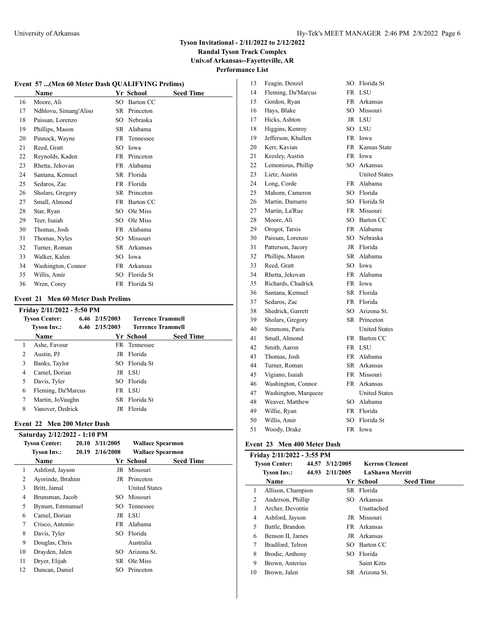**Randal Tyson Track Complex Univ.of Arkansas--Fayetteville, AR**

# **Performance List**

### **Event 57 ...(Men 60 Meter Dash QUALIFYING Prelims)**

|    | Name                  |     | Yr School     | <b>Seed Time</b> |
|----|-----------------------|-----|---------------|------------------|
| 16 | Moore, Ali            | SO. | Barton CC     |                  |
| 17 | Ndhlovu, Simang'Aliso |     | SR Princeton  |                  |
| 18 | Paissan, Lorenzo      | SO. | Nebraska      |                  |
| 19 | Phillips, Mason       | SR. | Alabama       |                  |
| 20 | Pinnock, Wayne        |     | FR Tennessee  |                  |
| 21 | Reed, Gratt           | SO. | Iowa          |                  |
| 22 | Reynolds, Kaden       |     | FR Princeton  |                  |
| 23 | Rhetta, Jekovan       |     | FR Alabama    |                  |
| 24 | Santana, Kemuel       | SR. | Florida       |                  |
| 25 | Sedaros, Zac          | FR. | Florida       |                  |
| 26 | Sholars, Gregory      |     | SR Princeton  |                  |
| 27 | Small, Almond         | FR. | Barton CC     |                  |
| 28 | Star, Ryan            | SO. | Ole Miss      |                  |
| 29 | Teer, Isaiah          | SO. | Ole Miss      |                  |
| 30 | Thomas, Josh          | FR. | Alabama       |                  |
| 31 | Thomas, Nyles         | SO. | Missouri      |                  |
| 32 | Turner, Roman         | SR  | Arkansas      |                  |
| 33 | Walker, Kalen         | SО  | Iowa          |                  |
| 34 | Washington, Connor    | FR. | Arkansas      |                  |
| 35 | Willis, Amir          | SO. | Florida St    |                  |
| 36 | Wren, Corey           |     | FR Florida St |                  |

#### **Event 21 Men 60 Meter Dash Prelims**

|                | Friday 2/11/2022 - 5:50 PM |                    |               |                          |  |  |  |  |
|----------------|----------------------------|--------------------|---------------|--------------------------|--|--|--|--|
|                | <b>Tyson Center:</b>       | 6.46 2/15/2003     |               | <b>Terrence Trammell</b> |  |  |  |  |
|                | <b>Tyson Inv.:</b>         | $6.46$ $2/15/2003$ |               | <b>Terrence Trammell</b> |  |  |  |  |
|                | <b>Name</b>                |                    | Yr School     | <b>Seed Time</b>         |  |  |  |  |
| 1              | Ashe, Favour               |                    | FR Tennessee  |                          |  |  |  |  |
| $\mathfrak{D}$ | Austin, PJ                 |                    | JR Florida    |                          |  |  |  |  |
| 3              | Banks, Taylor              |                    | SO Florida St |                          |  |  |  |  |
| 4              | Camel, Dorian              |                    | JR LSU        |                          |  |  |  |  |
| 5              | Davis, Tyler               |                    | SO Florida    |                          |  |  |  |  |
| 6              | Fleming, Da'Marcus         |                    | FR LSU        |                          |  |  |  |  |
| 7              | Martin, JoVaughn           |                    | SR Florida St |                          |  |  |  |  |
| 8              | Vanover, Dedrick           | JR                 | Florida       |                          |  |  |  |  |

## **Event 22 Men 200 Meter Dash**

|    | Saturday 2/12/2022 - 1:10 PM |  |                 |                         |                  |  |  |  |
|----|------------------------------|--|-----------------|-------------------------|------------------|--|--|--|
|    | <b>Tyson Center:</b>         |  | 20.10 3/11/2005 | <b>Wallace Spearmon</b> |                  |  |  |  |
|    | Tyson Inv.:                  |  | 20.19 2/16/2008 | <b>Wallace Spearmon</b> |                  |  |  |  |
|    | <b>Name</b>                  |  |                 | Yr School               | <b>Seed Time</b> |  |  |  |
| 1  | Ashford, Jayson              |  |                 | JR Missouri             |                  |  |  |  |
| 2  | Ayorinde, Ibrahim            |  |                 | JR Princeton            |                  |  |  |  |
| 3  | Britt, Jamal                 |  |                 | <b>United States</b>    |                  |  |  |  |
| 4  | Brunsman, Jacob              |  | SO.             | Missouri                |                  |  |  |  |
| 5  | Bynum, Emmanuel              |  |                 | SO Tennessee            |                  |  |  |  |
| 6  | Camel, Dorian                |  |                 | JR LSU                  |                  |  |  |  |
| 7  | Crisco, Antonio              |  |                 | FR Alabama              |                  |  |  |  |
| 8  | Davis, Tyler                 |  | SO.             | Florida                 |                  |  |  |  |
| 9  | Douglas, Chris               |  |                 | Australia               |                  |  |  |  |
| 10 | Drayden, Jalen               |  | SO.             | Arizona St.             |                  |  |  |  |
| 11 | Dryer, Elijah                |  |                 | SR Ole Miss             |                  |  |  |  |
| 12 | Duncan, Daniel               |  | SO.             | Princeton               |                  |  |  |  |
|    |                              |  |                 |                         |                  |  |  |  |

| 13 | Feagin, Denzel       | SО        | Florida St           |
|----|----------------------|-----------|----------------------|
| 14 | Fleming, Da'Marcus   |           | FR LSU               |
| 15 | Gordon, Ryan         |           | FR Arkansas          |
| 16 | Hays, Blake          |           | SO Missouri          |
| 17 | Hicks, Ashton        |           | JR LSU               |
| 18 | Higgins, Kenroy      |           | SO LSU               |
| 19 | Jefferson, Khullen   |           | FR Iowa              |
| 20 | Kerr, Kavian         |           | FR Kansas State      |
| 21 | Kresley, Austin      |           | FR Iowa              |
| 22 | Lemonious, Phillip   |           | SO Arkansas          |
| 23 | Lietz, Austin        |           | <b>United States</b> |
| 24 | Long, Corde          |           | FR Alabama           |
| 25 | Mahorn, Cameron      |           | SO Florida           |
| 26 | Martin, Damarre      |           | SO Florida St        |
| 27 | Martin, La'Rue       |           | FR Missouri          |
| 28 | Moore, Ali           |           | SO Barton CC         |
| 29 | Orogot, Tarsis       |           | FR Alabama           |
| 30 | Paissan, Lorenzo     |           | SO Nebraska          |
| 31 | Patterson, Jacory    |           | JR Florida           |
| 32 | Phillips, Mason      |           | SR Alabama           |
| 33 | Reed, Gratt          |           | SO Iowa              |
| 34 | Rhetta, Jekovan      |           | FR Alabama           |
| 35 | Richards, Chadrick   |           | FR Iowa              |
| 36 | Santana, Kemuel      |           | SR Florida           |
| 37 | Sedaros, Zac         |           | FR Florida           |
| 38 | Shedrick, Garrett    |           | SO Arizona St.       |
| 39 | Sholars, Gregory     | SR        | Princeton            |
| 40 | Simmons, Paris       |           | <b>United States</b> |
| 41 | Small, Almond        |           | FR Barton CC         |
| 42 | Smith, Aaron         |           | FR LSU               |
| 43 | Thomas, Josh         |           | FR Alabama           |
| 44 | Turner, Roman        |           | SR Arkansas          |
| 45 | Vigiano, Isaiah      |           | FR Missouri          |
| 46 | Washington, Connor   |           | FR Arkansas          |
| 47 | Washington, Marqueze |           | <b>United States</b> |
| 48 | Weaver, Matthew      |           | SO Alabama           |
| 49 | Willie, Ryan         |           | FR Florida           |
| 50 | Willis, Amir         |           | SO Florida St        |
| 51 | Woody, Drake         | <b>FR</b> | Iowa                 |
|    |                      |           |                      |

# **Event 23 Men 400 Meter Dash**

|              | Friday 2/11/2022 - 3:55 PM |  |                 |                        |                  |  |  |
|--------------|----------------------------|--|-----------------|------------------------|------------------|--|--|
|              | <b>Tyson Center:</b>       |  | 44.57 3/12/2005 | <b>Kerron Clement</b>  |                  |  |  |
|              | <b>Tyson Inv.:</b>         |  | 44.93 2/11/2005 | <b>LaShawn Merritt</b> |                  |  |  |
|              | <b>Name</b>                |  |                 | Yr School              | <b>Seed Time</b> |  |  |
| $\mathbf{1}$ | Allison, Champion          |  |                 | SR Florida             |                  |  |  |
| 2            | Anderson, Phillip          |  |                 | SO Arkansas            |                  |  |  |
| 3            | Archer, Devontie           |  |                 | Unattached             |                  |  |  |
| 4            | Ashford, Jayson            |  |                 | JR Missouri            |                  |  |  |
| 5            | Battle, Brandon            |  |                 | FR Arkansas            |                  |  |  |
| 6            | Benson II, James           |  |                 | JR Arkansas            |                  |  |  |
| 7            | Bradford, Telron           |  |                 | SO Barton CC           |                  |  |  |
| 8            | Brodie, Anthony            |  |                 | SO Florida             |                  |  |  |
| 9            | Brown, Anterius            |  |                 | <b>Saint Kitts</b>     |                  |  |  |
| 10           | Brown, Jalen               |  |                 | SR Arizona St.         |                  |  |  |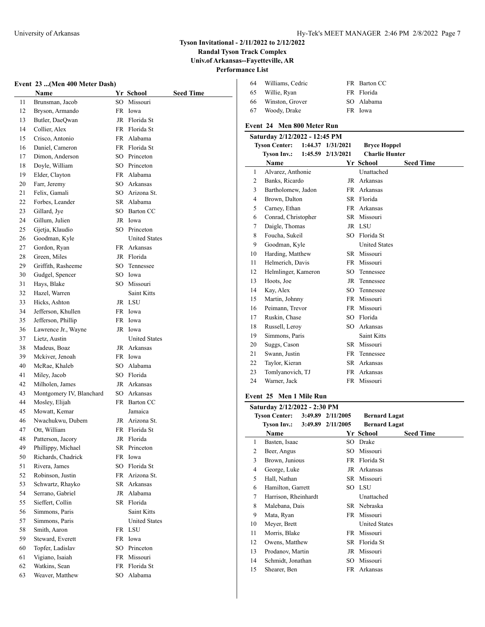$\overline{a}$ 

# **Tyson Invitational - 2/11/2022 to 2/12/2022**

**Randal Tyson Track Complex**

**Univ.of Arkansas--Fayetteville, AR**

# **Performance List**

| Event 23 (Men 400 Meter Dash) |  |  |  |  |  |
|-------------------------------|--|--|--|--|--|
|-------------------------------|--|--|--|--|--|

|    | Event 23 (Men 400 Meter Dash) |      |                                     |           |
|----|-------------------------------|------|-------------------------------------|-----------|
|    | <b>Name</b>                   |      | Yr_School                           | Seed Time |
| 11 | Brunsman, Jacob               | SO.  | Missouri                            |           |
| 12 | Bryson, Armando               | FR.  | Iowa                                |           |
| 13 | Butler, DaeQwan               |      | JR Florida St                       |           |
| 14 | Collier, Alex                 |      | FR Florida St                       |           |
| 15 | Crisco, Antonio               |      | FR Alabama                          |           |
| 16 | Daniel, Cameron               |      | FR Florida St                       |           |
| 17 | Dimon, Anderson               | SO.  | Princeton                           |           |
| 18 | Doyle, William                | SO   | Princeton                           |           |
| 19 | Elder, Clayton                | FR - | Alabama                             |           |
| 20 | Farr, Jeremy                  | SO.  | Arkansas                            |           |
| 21 | Felix, Gamali                 |      | SO Arizona St.                      |           |
| 22 | Forbes, Leander               |      | SR Alabama                          |           |
| 23 | Gillard, Jye                  | SO.  | Barton CC                           |           |
| 24 | Gillum, Julien                | JR   | Iowa                                |           |
| 25 | Gjetja, Klaudio               | SO.  | Princeton                           |           |
| 26 | Goodman, Kyle                 |      | <b>United States</b>                |           |
| 27 | Gordon, Ryan                  |      | FR Arkansas                         |           |
| 28 | Green, Miles                  |      | JR Florida                          |           |
| 29 | Griffith, Rasheeme            | SO.  | Tennessee                           |           |
| 30 | Gudgel, Spencer               | SO.  | Iowa                                |           |
| 31 | Hays, Blake                   | SO.  | Missouri                            |           |
| 32 | Hazel, Warren                 |      | <b>Saint Kitts</b>                  |           |
| 33 | Hicks, Ashton                 |      | JR LSU                              |           |
| 34 | Jefferson, Khullen            | FR   | Iowa                                |           |
| 35 | Jefferson, Phillip            | FR   | Iowa                                |           |
| 36 | Lawrence Jr., Wayne           | JR   | Iowa                                |           |
| 37 | Lietz, Austin                 |      | <b>United States</b>                |           |
| 38 | Madeus, Boaz                  |      | JR Arkansas                         |           |
| 39 | Mckiver, Jenoah               |      | FR Iowa                             |           |
| 40 | McRae, Khaleb                 | SO   | Alabama                             |           |
| 41 | Miley, Jacob                  | SO   | Florida                             |           |
| 42 | Milholen, James               | JR   | Arkansas                            |           |
| 43 | Montgomery IV, Blanchard      | SO   | Arkansas                            |           |
| 44 | Mosley, Elijah                | FR - | Barton CC                           |           |
| 45 | Mowatt, Kemar                 |      | Jamaica                             |           |
| 46 | Nwachukwu, Dubem              | JR   | Arizona St.                         |           |
| 47 | Ott, William                  |      | FR Florida St                       |           |
| 48 | Patterson, Jacory             |      | JR Florida                          |           |
| 49 | Phillippy, Michael            |      | SR Princeton                        |           |
| 50 | Richards, Chadrick            | FR   | Iowa                                |           |
| 51 | Rivera, James                 | SO   | Florida St                          |           |
| 52 | Robinson, Justin              | FR   | Arizona St.                         |           |
| 53 | Schwartz, Rhayko              | SR   | Arkansas                            |           |
| 54 | Serrano, Gabriel              | JR   | Alabama                             |           |
| 55 | Sieffert, Collin              | SR   | Florida                             |           |
|    |                               |      |                                     |           |
| 56 | Simmons, Paris                |      | Saint Kitts<br><b>United States</b> |           |
| 57 | Simmons, Paris                |      |                                     |           |
| 58 | Smith, Aaron                  | FR   | LSU                                 |           |
| 59 | Steward, Everett              | FR   | Iowa                                |           |
| 60 | Topfer, Ladislav              | SO   | Princeton                           |           |
| 61 | Vigiano, Isaiah               | FR   | Missouri                            |           |
| 62 | Watkins, Sean                 | FR   | Florida St                          |           |
| 63 | Weaver, Matthew               | SO   | Alabama                             |           |

| 64 | Williams, Cedric | FR Barton CC |
|----|------------------|--------------|
| 65 | Willie, Ryan     | FR Florida   |
| 66 | Winston, Grover  | SO Alabama   |
| 67 | Woody, Drake     | FR Iowa      |

## **Event 24 Men 800 Meter Run**

|                      | Saturday 2/12/2022 - 12:45 PM |                   |                     |                       |                  |  |  |  |
|----------------------|-------------------------------|-------------------|---------------------|-----------------------|------------------|--|--|--|
| <b>Tyson Center:</b> |                               | 1:44.37 1/31/2021 | <b>Bryce Hoppel</b> |                       |                  |  |  |  |
|                      | <b>Tyson Inv.:</b>            |                   | 1:45.59 2/13/2021   | <b>Charlie Hunter</b> |                  |  |  |  |
|                      | <b>Name</b>                   |                   |                     | Yr School             | <b>Seed Time</b> |  |  |  |
| 1                    | Alvarez, Anthonie             |                   |                     | Unattached            |                  |  |  |  |
| 2                    | Banks, Ricardo                |                   |                     | JR Arkansas           |                  |  |  |  |
| 3                    | Bartholomew, Jadon            |                   |                     | FR Arkansas           |                  |  |  |  |
| 4                    | Brown, Dalton                 |                   |                     | SR Florida            |                  |  |  |  |
| 5                    | Carney, Ethan                 |                   |                     | FR Arkansas           |                  |  |  |  |
| 6                    | Conrad, Christopher           |                   |                     | SR Missouri           |                  |  |  |  |
| 7                    | Daigle, Thomas                |                   |                     | JR LSU                |                  |  |  |  |
| 8                    | Foucha, Sukeil                |                   | SO.                 | Florida St            |                  |  |  |  |
| 9                    | Goodman, Kyle                 |                   |                     | <b>United States</b>  |                  |  |  |  |
| 10                   | Harding, Matthew              |                   |                     | SR Missouri           |                  |  |  |  |
| 11                   | Helmerich, Davis              |                   |                     | FR Missouri           |                  |  |  |  |
| 12                   | Helmlinger, Kameron           |                   | SO.                 | Tennessee             |                  |  |  |  |
| 13                   | Hoots, Joe                    |                   | JR                  | Tennessee             |                  |  |  |  |
| 14                   | Kay, Alex                     |                   | SO.                 | Tennessee             |                  |  |  |  |
| 15                   | Martin, Johnny                |                   |                     | FR Missouri           |                  |  |  |  |
| 16                   | Peimann, Trevor               |                   |                     | FR Missouri           |                  |  |  |  |
| 17                   | Ruskin, Chase                 |                   |                     | SO Florida            |                  |  |  |  |
| 18                   | Russell, Leroy                |                   | SO.                 | Arkansas              |                  |  |  |  |
| 19                   | Simmons, Paris                |                   |                     | <b>Saint Kitts</b>    |                  |  |  |  |
| 20                   | Suggs, Cason                  |                   |                     | SR Missouri           |                  |  |  |  |
| 21                   | Swann, Justin                 |                   | FR                  | Tennessee             |                  |  |  |  |
| 22                   | Taylor, Kieran                |                   |                     | SR Arkansas           |                  |  |  |  |
| 23                   | Tomlyanovich, TJ              |                   |                     | FR Arkansas           |                  |  |  |  |
| 24                   | Warner, Jack                  |                   |                     | FR Missouri           |                  |  |  |  |

## **Event 25 Men 1 Mile Run**

| Saturday 2/12/2022 - 2:30 PM |                                 |  |                   |                      |                  |  |
|------------------------------|---------------------------------|--|-------------------|----------------------|------------------|--|
|                              | Tyson Center: 3:49.89 2/11/2005 |  |                   | <b>Bernard Lagat</b> |                  |  |
|                              | Tyson Inv.:                     |  | 3:49.89 2/11/2005 | <b>Bernard Lagat</b> |                  |  |
|                              | Name                            |  |                   | Yr School            | <b>Seed Time</b> |  |
| 1                            | Basten, Isaac                   |  | SO.               | Drake                |                  |  |
| 2                            | Beer, Angus                     |  | SO.               | Missouri             |                  |  |
| 3                            | Brown, Junious                  |  |                   | FR Florida St        |                  |  |
| 4                            | George, Luke                    |  | JR                | Arkansas             |                  |  |
| 5                            | Hall, Nathan                    |  | SR -              | Missouri             |                  |  |
| 6                            | Hamilton, Garrett               |  |                   | SO LSU               |                  |  |
| 7                            | Harrison, Rheinhardt            |  |                   | Unattached           |                  |  |
| 8                            | Malebana, Dais                  |  |                   | SR Nebraska          |                  |  |
| 9                            | Mata, Ryan                      |  | FR.               | Missouri             |                  |  |
| 10                           | Meyer, Brett                    |  |                   | <b>United States</b> |                  |  |
| 11                           | Morris, Blake                   |  | FR.               | Missouri             |                  |  |
| 12                           | Owens, Matthew                  |  | SR                | Florida St           |                  |  |
| 13                           | Prodanov, Martin                |  | JR                | Missouri             |                  |  |
| 14                           | Schmidt, Jonathan               |  | SO.               | Missouri             |                  |  |
| 15                           | Shearer, Ben                    |  | FR                | Arkansas             |                  |  |
|                              |                                 |  |                   |                      |                  |  |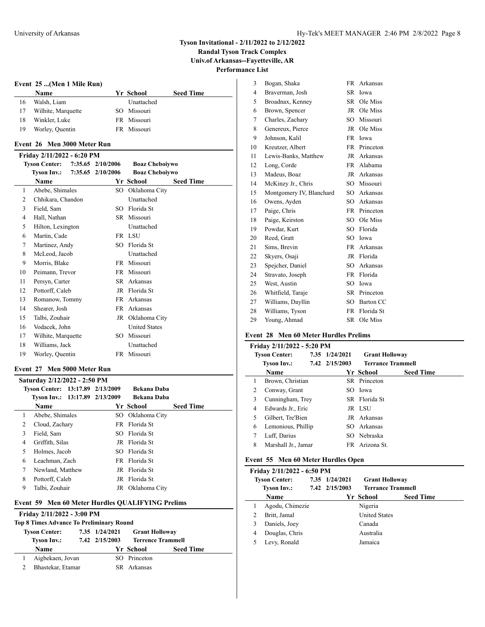**Randal Tyson Track Complex Univ.of Arkansas--Fayetteville, AR**

 $\overline{a}$ 

**Performance List**

## **Event 25 ...(Men 1 Mile Run)**

|    | <b>Name</b>        | Yr School   | <b>Seed Time</b> |
|----|--------------------|-------------|------------------|
| 16 | Walsh, Liam        | Unattached  |                  |
| 17 | Wilhite, Marquette | SO Missouri |                  |
| 18 | Winkler, Luke      | FR Missouri |                  |
| 19 | Worley, Quentin    | FR Missouri |                  |

# **Event 26 Men 3000 Meter Run**

## **Friday 2/11/2022 - 6:20 PM**

|    | <b>Tyson Center:</b> | 7:35.65 2/10/2006 | <b>Boaz Cheboiywo</b> |                  |
|----|----------------------|-------------------|-----------------------|------------------|
|    | <b>Tyson Inv.:</b>   | 7:35.65 2/10/2006 | <b>Boaz Cheboiywo</b> |                  |
|    | Name                 |                   | Yr School             | <b>Seed Time</b> |
| 1  | Abebe, Shimales      | SO                | Oklahoma City         |                  |
| 2  | Chhikara, Chandon    |                   | Unattached            |                  |
| 3  | Field, Sam           | SO                | Florida St            |                  |
| 4  | Hall, Nathan         | SR.               | Missouri              |                  |
| 5  | Hilton, Lexington    |                   | Unattached            |                  |
| 6  | Martin, Cade         |                   | FR LSU                |                  |
| 7  | Martinez, Andy       | SO                | Florida St            |                  |
| 8  | McLeod, Jacob        |                   | Unattached            |                  |
| 9  | Morris, Blake        | FR.               | Missouri              |                  |
| 10 | Peimann, Trevor      | FR.               | Missouri              |                  |
| 11 | Persyn, Carter       | SR.               | Arkansas              |                  |
| 12 | Pottorff, Caleb      | JR                | Florida St            |                  |
| 13 | Romanow, Tommy       | FR.               | Arkansas              |                  |
| 14 | Shearer, Josh        | FR                | Arkansas              |                  |
| 15 | Talbi, Zouhair       | JR                | Oklahoma City         |                  |
| 16 | Vodacek, John        |                   | <b>United States</b>  |                  |
| 17 | Wilhite, Marquette   | SO                | Missouri              |                  |
| 18 | Williams, Jack       |                   | Unattached            |                  |
| 19 | Worley, Quentin      | FR.               | Missouri              |                  |
|    |                      |                   |                       |                  |

### **Event 27 Men 5000 Meter Run**

|   | Saturday 2/12/2022 - 2:50 PM     |  |                    |                  |  |  |  |  |
|---|----------------------------------|--|--------------------|------------------|--|--|--|--|
|   | Tyson Center: 13:17.89 2/13/2009 |  | <b>Bekana Daba</b> |                  |  |  |  |  |
|   | Tyson Inv.: 13:17.89 2/13/2009   |  | <b>Bekana Daba</b> |                  |  |  |  |  |
|   | Name                             |  | Yr School          | <b>Seed Time</b> |  |  |  |  |
|   | Abebe, Shimales                  |  | SO Oklahoma City   |                  |  |  |  |  |
| 2 | Cloud, Zachary                   |  | FR Florida St      |                  |  |  |  |  |
| 3 | Field, Sam                       |  | SO Florida St      |                  |  |  |  |  |
| 4 | Griffith, Silas                  |  | JR Florida St      |                  |  |  |  |  |
| 5 | Holmes, Jacob                    |  | SO Florida St      |                  |  |  |  |  |
| 6 | Leachman, Zach                   |  | FR Florida St      |                  |  |  |  |  |
| 7 | Newland, Matthew                 |  | JR Florida St      |                  |  |  |  |  |
| 8 | Pottorff, Caleb                  |  | JR Florida St      |                  |  |  |  |  |
| 9 | Talbi, Zouhair                   |  | JR Oklahoma City   |                  |  |  |  |  |

## **Event 59 Men 60 Meter Hurdles QUALIFYING Prelims**

# **Friday 2/11/2022 - 3:00 PM**

| <b>Top 8 Times Advance To Preliminary Round</b> |                      |  |                |                       |                          |  |  |
|-------------------------------------------------|----------------------|--|----------------|-----------------------|--------------------------|--|--|
|                                                 | <b>Tyson Center:</b> |  | 7.35 1/24/2021 | <b>Grant Holloway</b> |                          |  |  |
|                                                 | <b>Tyson Inv.:</b>   |  | 7.42 2/15/2003 |                       | <b>Terrence Trammell</b> |  |  |
|                                                 | <b>Name</b>          |  |                | Yr School             | <b>Seed Time</b>         |  |  |
|                                                 | Aigbekaen, Jovan     |  |                | SO Princeton          |                          |  |  |
|                                                 | Bhastekar, Etamar    |  |                | SR Arkansas           |                          |  |  |
|                                                 |                      |  |                |                       |                          |  |  |

| 3              | Bogan, Shaka             | FR        | Arkansas     |
|----------------|--------------------------|-----------|--------------|
| $\overline{4}$ | Braverman, Josh          | SR        | Iowa         |
| 5              | Broadnax, Kenney         | SR        | Ole Miss     |
| 6              | Brown, Spencer           |           | JR Ole Miss  |
| 7              | Charles, Zachary         |           | SO Missouri  |
| 8              | Genereux, Pierce         |           | JR Ole Miss  |
| 9              | Johnson, Kalil           |           | FR Iowa      |
| 10             | Kreutzer, Albert         | FR -      | Princeton    |
| 11             | Lewis-Banks, Matthew     |           | JR Arkansas  |
| 12             | Long, Corde              | FR        | Alabama      |
| 13             | Madeus, Boaz             | JR        | Arkansas     |
| 14             | McKinzy Jr., Chris       |           | SO Missouri  |
| 15             | Montgomery IV, Blanchard | $SO^-$    | Arkansas     |
| 16             | Owens, Ayden             |           | SO Arkansas  |
| 17             | Paige, Chris             |           | FR Princeton |
| 18             | Paige, Keirston          |           | SO Ole Miss  |
| 19             | Powdar, Kurt             |           | SO Florida   |
| 20             | Reed, Gratt              | SO.       | Iowa         |
| 21             | Sims, Brevin             |           | FR Arkansas  |
| 22             | Skyers, Osaji            |           | JR Florida   |
| 23             | Spejcher, Daniel         |           | SO Arkansas  |
| 24             | Stravato, Joseph         | FR        | Florida      |
| 25             | West, Austin             | $SO^-$    | Iowa         |
| 26             | Whitfield, Taraje        |           | SR Princeton |
| 27             | Williams, Dayllin        |           | SO Barton CC |
| 28             | Williams, Tyson          | <b>FR</b> | Florida St   |
| 29             | Young, Ahmad             | SR        | Ole Miss     |

## **Event 28 Men 60 Meter Hurdles Prelims**

|   | Friday 2/11/2022 - 5:20 PM |  |                |                       |                          |  |  |  |
|---|----------------------------|--|----------------|-----------------------|--------------------------|--|--|--|
|   | <b>Tyson Center:</b>       |  | 7.35 1/24/2021 | <b>Grant Holloway</b> |                          |  |  |  |
|   | Tyson Inv.:                |  | 7.42 2/15/2003 |                       | <b>Terrance Trammell</b> |  |  |  |
|   | <b>Name</b>                |  |                | Yr School             | <b>Seed Time</b>         |  |  |  |
| 1 | Brown, Christian           |  |                | SR Princeton          |                          |  |  |  |
| 2 | Conway, Grant              |  |                | SO Iowa               |                          |  |  |  |
| 3 | Cunningham, Trey           |  |                | SR Florida St         |                          |  |  |  |
| 4 | Edwards Jr., Eric          |  |                | JR LSU                |                          |  |  |  |
| 5 | Gilbert, Tre'Bien          |  |                | JR Arkansas           |                          |  |  |  |
| 6 | Lemonious, Phillip         |  |                | SO Arkansas           |                          |  |  |  |
| 7 | Luff, Darius               |  |                | SO Nebraska           |                          |  |  |  |
| 8 | Marshall Jr., Jamar        |  |                | FR Arizona St.        |                          |  |  |  |

## **Event 55 Men 60 Meter Hurdles Open**

|   | Friday 2/11/2022 - 6:50 PM |                |                          |                  |  |
|---|----------------------------|----------------|--------------------------|------------------|--|
|   | <b>Tyson Center:</b>       | 7.35 1/24/2021 | <b>Grant Holloway</b>    |                  |  |
|   | Tyson Inv.:                | 7.42 2/15/2003 | <b>Terrance Trammell</b> |                  |  |
|   | <b>Name</b>                |                | Yr School                | <b>Seed Time</b> |  |
|   | Agodu, Chimezie            |                | Nigeria                  |                  |  |
| 2 | Britt, Jamal               |                | <b>United States</b>     |                  |  |
| 3 | Daniels, Joey              |                | Canada                   |                  |  |
| 4 | Douglas, Chris             |                | Australia                |                  |  |
|   | Levy, Ronald               |                | Jamaica                  |                  |  |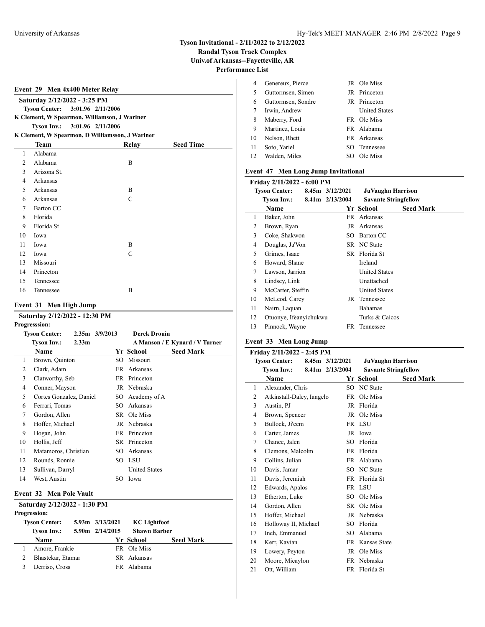**Randal Tyson Track Complex**

**Univ.of Arkansas--Fayetteville, AR**

**Performance List**

|                          | Event 29 Men 4x400 Meter Relay                  |  |       |                  |  |
|--------------------------|-------------------------------------------------|--|-------|------------------|--|
|                          | Saturday 2/12/2022 - 3:25 PM                    |  |       |                  |  |
|                          | Tyson Center: 3:01.96 2/11/2006                 |  |       |                  |  |
|                          | K Clement, W Spearmon, Williamson, J Wariner    |  |       |                  |  |
|                          | Tyson Inv.: 3:01.96 2/11/2006                   |  |       |                  |  |
|                          | K Clement, W Spearmon, D Williamsson, J Wariner |  |       |                  |  |
|                          | Team                                            |  | Relay | <b>Seed Time</b> |  |
| 1                        | Alabama                                         |  |       |                  |  |
| 2                        | Alabama                                         |  | B     |                  |  |
| 3                        | Arizona St.                                     |  |       |                  |  |
| 4                        | Arkansas                                        |  |       |                  |  |
| $\overline{\phantom{0}}$ | Arkansas                                        |  | B     |                  |  |
| 6                        | Arkansas                                        |  | C     |                  |  |
| 7                        | Barton CC                                       |  |       |                  |  |
| 8                        | Florida                                         |  |       |                  |  |
| $\sim$                   | $T^*$ $T^*$ $T^*$                               |  |       |                  |  |

|    | $\sim$     |   |
|----|------------|---|
| 8  | Florida    |   |
| -9 | Florida St |   |
| 10 | Iowa       |   |
| 11 | Iowa       | B |
| 12 | Iowa       | C |
| 13 | Missouri   |   |
| 14 | Princeton  |   |
| 15 | Tennessee  |   |
| 16 | Tennessee  | B |

## **Event 31 Men High Jump**

## **Saturday 2/12/2022 - 12:30 PM**

|    | <b>Progresssion:</b>                    |                    |                      |                                |
|----|-----------------------------------------|--------------------|----------------------|--------------------------------|
|    | <b>Tyson Center:</b>                    | $2.35m$ $3/9/2013$ | <b>Derek Drouin</b>  |                                |
|    | <b>Tyson Inv.:</b><br>2.33 <sub>m</sub> |                    |                      | A Manson / E Kynard / V Turner |
|    | Name                                    |                    | Yr School            | <b>Seed Mark</b>               |
| 1  | Brown, Quinton                          | SO                 | Missouri             |                                |
| 2  | Clark, Adam                             | FR                 | Arkansas             |                                |
| 3  | Clatworthy, Seb                         |                    | FR Princeton         |                                |
| 4  | Conner, Mayson                          | JR                 | Nebraska             |                                |
| 5  | Cortes Gonzalez, Daniel                 | SO.                | Academy of A         |                                |
| 6  | Ferrari, Tomas                          | SO.                | Arkansas             |                                |
| 7  | Gordon, Allen                           |                    | SR Ole Miss          |                                |
| 8  | Hoffer, Michael                         |                    | JR Nebraska          |                                |
| 9  | Hogan, John                             | FR                 | Princeton            |                                |
| 10 | Hollis, Jeff                            | SR.                | Princeton            |                                |
| 11 | Matamoros, Christian                    | SO                 | Arkansas             |                                |
| 12 | Rounds, Ronnie                          | SO.                | LSU                  |                                |
| 13 | Sullivan, Darryl                        |                    | <b>United States</b> |                                |
| 14 | West, Austin                            | SO                 | Iowa                 |                                |
|    | <b>Fyont 32. Mon Dolo Vault</b>         |                    |                      |                                |

#### **Event 32 Men Pole Vault**

| Saturday 2/12/2022 - 1:30 PM<br><b>Progression:</b> |                    |                 |                     |                     |                  |  |  |
|-----------------------------------------------------|--------------------|-----------------|---------------------|---------------------|------------------|--|--|
| <b>Tyson Center:</b>                                |                    | 5.93m 3/13/2021 | <b>KC</b> Lightfoot |                     |                  |  |  |
|                                                     | <b>Tyson Inv.:</b> |                 | 5.90m 2/14/2015     | <b>Shawn Barber</b> |                  |  |  |
|                                                     | Name               |                 |                     | Yr School           | <b>Seed Mark</b> |  |  |
|                                                     | Amore, Frankie     |                 |                     | FR Ole Miss         |                  |  |  |
| 2                                                   | Bhastekar, Etamar  |                 |                     | SR Arkansas         |                  |  |  |
|                                                     | Derriso, Cross     |                 |                     | FR Alabama          |                  |  |  |
|                                                     |                    |                 |                     |                     |                  |  |  |

|    | Genereux, Pierce   |     | JR Ole Miss          |
|----|--------------------|-----|----------------------|
| 5  | Guttormsen, Simen  |     | JR Princeton         |
| 6  | Guttormsen, Sondre |     | JR Princeton         |
| 7  | Irwin, Andrew      |     | <b>United States</b> |
| 8  | Maberry, Ford      |     | FR Ole Miss          |
| 9  | Martinez, Louis    |     | FR Alabama           |
| 10 | Nelson, Rhett      |     | FR Arkansas          |
| 11 | Soto, Yariel       | SO. | Tennessee            |
| 12 | Walden, Miles      |     | Ole Miss             |

## **Event 47 Men Long Jump Invitational**

| Friday 2/11/2022 - 6:00 PM |                        |  |                     |                             |                  |  |  |
|----------------------------|------------------------|--|---------------------|-----------------------------|------------------|--|--|
|                            | <b>Tyson Center:</b>   |  | $8.45m$ $3/12/2021$ | <b>JuVaughn Harrison</b>    |                  |  |  |
|                            | <b>Tyson Inv.:</b>     |  | 8.41m 2/13/2004     | <b>Savante Stringfellow</b> |                  |  |  |
|                            | <b>Name</b>            |  |                     | Yr School                   | <b>Seed Mark</b> |  |  |
| 1                          | Baker, John            |  |                     | FR Arkansas                 |                  |  |  |
| 2                          | Brown, Ryan            |  |                     | JR Arkansas                 |                  |  |  |
| 3                          | Coke, Shakwon          |  |                     | SO Barton CC                |                  |  |  |
| 4                          | Douglas, Ja'Von        |  |                     | SR NC State                 |                  |  |  |
| 5                          | Grimes, Isaac          |  |                     | SR Florida St               |                  |  |  |
| 6                          | Howard, Shane          |  |                     | Ireland                     |                  |  |  |
| 7                          | Lawson, Jarrion        |  |                     | <b>United States</b>        |                  |  |  |
| 8                          | Lindsey, Link          |  |                     | Unattached                  |                  |  |  |
| 9                          | McCarter, Steffin      |  |                     | <b>United States</b>        |                  |  |  |
| 10                         | McLeod, Carey          |  |                     | JR Tennessee                |                  |  |  |
| 11                         | Nairn, Laquan          |  |                     | <b>Bahamas</b>              |                  |  |  |
| 12                         | Otuonye, Ifeanyichukwu |  |                     | Turks & Caicos              |                  |  |  |
| 13                         | Pinnock, Wayne         |  | FR.                 | Tennessee                   |                  |  |  |
|                            |                        |  |                     |                             |                  |  |  |

# **Event 33 Men Long Jump**

| Friday 2/11/2022 - 2:45 PM |                           |  |                 |                             |                  |  |  |  |
|----------------------------|---------------------------|--|-----------------|-----------------------------|------------------|--|--|--|
|                            | <b>Tyson Center:</b>      |  | 8.45m 3/12/2021 | <b>JuVaughn Harrison</b>    |                  |  |  |  |
|                            | <b>Tyson Inv.:</b>        |  | 8.41m 2/13/2004 | <b>Savante Stringfellow</b> |                  |  |  |  |
|                            | <b>Name</b>               |  |                 | Yr School                   | <b>Seed Mark</b> |  |  |  |
| 1                          | Alexander, Chris          |  |                 | SO NC State                 |                  |  |  |  |
| $\overline{c}$             | Atkinstall-Daley, Iangelo |  |                 | FR Ole Miss                 |                  |  |  |  |
| 3                          | Austin, PJ                |  |                 | JR Florida                  |                  |  |  |  |
| $\overline{4}$             | Brown, Spencer            |  |                 | JR Ole Miss                 |                  |  |  |  |
| 5                          | Bullock, Ji'eem           |  |                 | FR LSU                      |                  |  |  |  |
| 6                          | Carter, James             |  |                 | JR Iowa                     |                  |  |  |  |
| 7                          | Chance, Jalen             |  |                 | SO Florida                  |                  |  |  |  |
| 8                          | Clemons, Malcolm          |  |                 | FR Florida                  |                  |  |  |  |
| 9                          | Collins, Julian           |  |                 | FR Alabama                  |                  |  |  |  |
| 10                         | Davis, Jamar              |  |                 | SO NC State                 |                  |  |  |  |
| 11                         | Davis, Jeremiah           |  |                 | FR Florida St               |                  |  |  |  |
| 12                         | Edwards, Apalos           |  |                 | FR LSU                      |                  |  |  |  |
| 13                         | Etherton, Luke            |  | SO.             | Ole Miss                    |                  |  |  |  |
| 14                         | Gordon, Allen             |  |                 | SR Ole Miss                 |                  |  |  |  |
| 15                         | Hoffer, Michael           |  |                 | JR Nebraska                 |                  |  |  |  |
| 16                         | Holloway II, Michael      |  | SO              | Florida                     |                  |  |  |  |
| 17                         | Ineh, Emmanuel            |  | SO.             | Alabama                     |                  |  |  |  |
| 18                         | Kerr, Kavian              |  |                 | FR Kansas State             |                  |  |  |  |
| 19                         | Lowery, Peyton            |  |                 | JR Ole Miss                 |                  |  |  |  |
| 20                         | Moore, Micaylon           |  | FR              | Nebraska                    |                  |  |  |  |
| 21                         | Ott. William              |  |                 | FR Florida St               |                  |  |  |  |